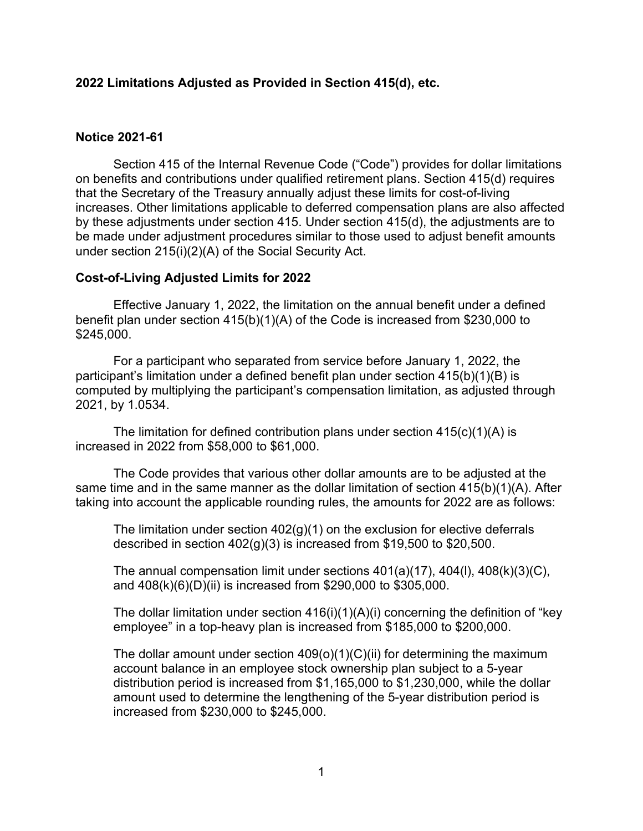## **2022 Limitations Adjusted as Provided in Section 415(d), etc.**

## **Notice 2021-61**

Section 415 of the Internal Revenue Code ("Code") provides for dollar limitations on benefits and contributions under qualified retirement plans. Section 415(d) requires that the Secretary of the Treasury annually adjust these limits for cost-of-living increases. Other limitations applicable to deferred compensation plans are also affected by these adjustments under section 415. Under section 415(d), the adjustments are to be made under adjustment procedures similar to those used to adjust benefit amounts under section 215(i)(2)(A) of the Social Security Act.

## **Cost-of-Living Adjusted Limits for 2022**

Effective January 1, 2022, the limitation on the annual benefit under a defined benefit plan under section 415(b)(1)(A) of the Code is increased from \$230,000 to \$245,000.

For a participant who separated from service before January 1, 2022, the participant's limitation under a defined benefit plan under section 415(b)(1)(B) is computed by multiplying the participant's compensation limitation, as adjusted through 2021, by 1.0534.

The limitation for defined contribution plans under section  $415(c)(1)(A)$  is increased in 2022 from \$58,000 to \$61,000.

The Code provides that various other dollar amounts are to be adjusted at the same time and in the same manner as the dollar limitation of section 415(b)(1)(A). After taking into account the applicable rounding rules, the amounts for 2022 are as follows:

The limitation under section 402(g)(1) on the exclusion for elective deferrals described in section  $402(g)(3)$  is increased from \$19,500 to \$20,500.

The annual compensation limit under sections 401(a)(17), 404(l), 408(k)(3)(C), and 408(k)(6)(D)(ii) is increased from \$290,000 to \$305,000.

The dollar limitation under section  $416(i)(1)(A)(i)$  concerning the definition of "key" employee" in a top-heavy plan is increased from \$185,000 to \$200,000.

The dollar amount under section  $409(0)(1)(C)(ii)$  for determining the maximum account balance in an employee stock ownership plan subject to a 5-year distribution period is increased from \$1,165,000 to \$1,230,000, while the dollar amount used to determine the lengthening of the 5-year distribution period is increased from \$230,000 to \$245,000.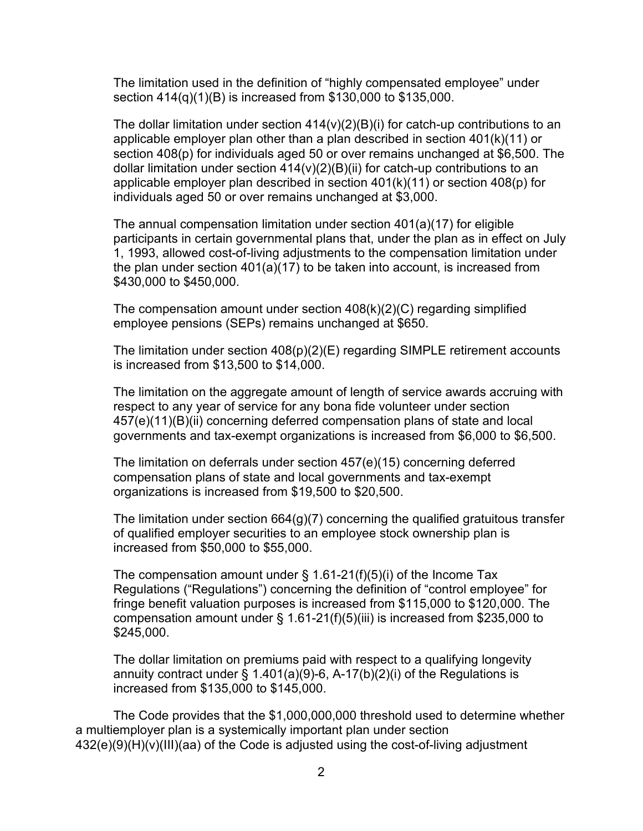The limitation used in the definition of "highly compensated employee" under section 414(q)(1)(B) is increased from \$130,000 to \$135,000.

The dollar limitation under section  $414(v)(2)(B)(i)$  for catch-up contributions to an applicable employer plan other than a plan described in section 401(k)(11) or section 408(p) for individuals aged 50 or over remains unchanged at \$6,500. The dollar limitation under section  $414(v)(2)(B)(ii)$  for catch-up contributions to an applicable employer plan described in section 401(k)(11) or section 408(p) for individuals aged 50 or over remains unchanged at \$3,000.

The annual compensation limitation under section 401(a)(17) for eligible participants in certain governmental plans that, under the plan as in effect on July 1, 1993, allowed cost-of-living adjustments to the compensation limitation under the plan under section 401(a)(17) to be taken into account, is increased from \$430,000 to \$450,000.

The compensation amount under section  $408(k)(2)(C)$  regarding simplified employee pensions (SEPs) remains unchanged at \$650.

The limitation under section  $408(p)(2)(E)$  regarding SIMPLE retirement accounts is increased from \$13,500 to \$14,000.

The limitation on the aggregate amount of length of service awards accruing with respect to any year of service for any bona fide volunteer under section 457(e)(11)(B)(ii) concerning deferred compensation plans of state and local governments and tax-exempt organizations is increased from \$6,000 to \$6,500.

The limitation on deferrals under section 457(e)(15) concerning deferred compensation plans of state and local governments and tax-exempt organizations is increased from \$19,500 to \$20,500.

The limitation under section 664(g)(7) concerning the qualified gratuitous transfer of qualified employer securities to an employee stock ownership plan is increased from \$50,000 to \$55,000.

The compensation amount under  $\S$  1.61-21(f)(5)(i) of the Income Tax Regulations ("Regulations") concerning the definition of "control employee" for fringe benefit valuation purposes is increased from \$115,000 to \$120,000. The compensation amount under § 1.61-21(f)(5)(iii) is increased from \$235,000 to \$245,000.

The dollar limitation on premiums paid with respect to a qualifying longevity annuity contract under  $\S$  1.401(a)(9)-6, A-17(b)(2)(i) of the Regulations is increased from \$135,000 to \$145,000.

The Code provides that the \$1,000,000,000 threshold used to determine whether a multiemployer plan is a systemically important plan under section 432(e)(9)(H)(v)(III)(aa) of the Code is adjusted using the cost-of-living adjustment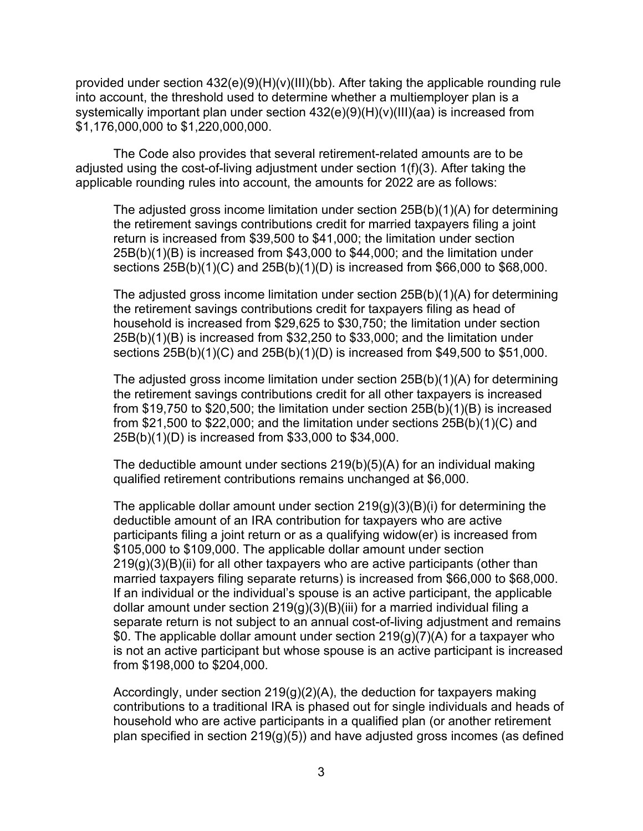provided under section 432(e)(9)(H)(v)(III)(bb). After taking the applicable rounding rule into account, the threshold used to determine whether a multiemployer plan is a systemically important plan under section 432(e)(9)(H)(v)(III)(aa) is increased from \$1,176,000,000 to \$1,220,000,000.

The Code also provides that several retirement-related amounts are to be adjusted using the cost-of-living adjustment under section 1(f)(3). After taking the applicable rounding rules into account, the amounts for 2022 are as follows:

The adjusted gross income limitation under section 25B(b)(1)(A) for determining the retirement savings contributions credit for married taxpayers filing a joint return is increased from \$39,500 to \$41,000; the limitation under section 25B(b)(1)(B) is increased from \$43,000 to \$44,000; and the limitation under sections 25B(b)(1)(C) and 25B(b)(1)(D) is increased from \$66,000 to \$68,000.

The adjusted gross income limitation under section 25B(b)(1)(A) for determining the retirement savings contributions credit for taxpayers filing as head of household is increased from \$29,625 to \$30,750; the limitation under section 25B(b)(1)(B) is increased from \$32,250 to \$33,000; and the limitation under sections 25B(b)(1)(C) and 25B(b)(1)(D) is increased from \$49,500 to \$51,000.

The adjusted gross income limitation under section 25B(b)(1)(A) for determining the retirement savings contributions credit for all other taxpayers is increased from \$19,750 to \$20,500; the limitation under section 25B(b)(1)(B) is increased from \$21,500 to \$22,000; and the limitation under sections 25B(b)(1)(C) and 25B(b)(1)(D) is increased from \$33,000 to \$34,000.

The deductible amount under sections 219(b)(5)(A) for an individual making qualified retirement contributions remains unchanged at \$6,000.

The applicable dollar amount under section  $219(g)(3)(B)(i)$  for determining the deductible amount of an IRA contribution for taxpayers who are active participants filing a joint return or as a qualifying widow(er) is increased from \$105,000 to \$109,000. The applicable dollar amount under section 219(g)(3)(B)(ii) for all other taxpayers who are active participants (other than married taxpayers filing separate returns) is increased from \$66,000 to \$68,000. If an individual or the individual's spouse is an active participant, the applicable dollar amount under section 219(g)(3)(B)(iii) for a married individual filing a separate return is not subject to an annual cost-of-living adjustment and remains \$0. The applicable dollar amount under section 219(g)(7)(A) for a taxpayer who is not an active participant but whose spouse is an active participant is increased from \$198,000 to \$204,000.

Accordingly, under section 219(g)(2)(A), the deduction for taxpayers making contributions to a traditional IRA is phased out for single individuals and heads of household who are active participants in a qualified plan (or another retirement plan specified in section  $219(g)(5)$  and have adjusted gross incomes (as defined